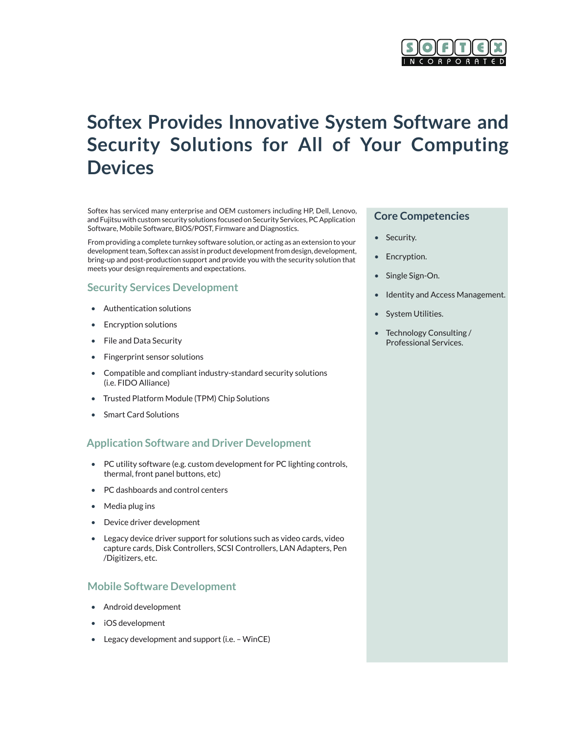

# **Softex Provides Innovative System Software and Security Solutions for All of Your Computing Devices**

Softex has serviced many enterprise and OEM customers including HP, Dell, Lenovo, and Fujitsu with custom security solutions focused on Security Services, PC Application Software, Mobile Software, BIOS/POST, Firmware and Diagnostics.

From providing a complete turnkey software solution, or acting as an extension to your development team, Softex can assist in product development from design, development, bring-up and post-production support and provide you with the security solution that meets your design requirements and expectations.

#### **Security Services Development**

- • Authentication solutions
- **Encryption solutions**
- • File and Data Security
- • Fingerprint sensor solutions
- • Compatible and compliant industry-standard security solutions (i.e. FIDO Alliance)
- Trusted Platform Module (TPM) Chip Solutions
- **Smart Card Solutions**

# **Application Software and Driver Development**

- PC utility software (e.g. custom development for PC lighting controls, thermal, front panel buttons, etc)
- PC dashboards and control centers
- Media plug ins
- Device driver development
- Legacy device driver support for solutions such as video cards, video capture cards, Disk Controllers, SCSI Controllers, LAN Adapters, Pen /Digitizers, etc.

#### **Mobile Software Development**

- • Android development
- • iOS development
- Legacy development and support (i.e. WinCE)

#### **Core Competencies**

- • Security.
- • Encryption.
- Single Sign-On.
- Identity and Access Management.
- • System Utilities.
- • Technology Consulting / Professional Services.